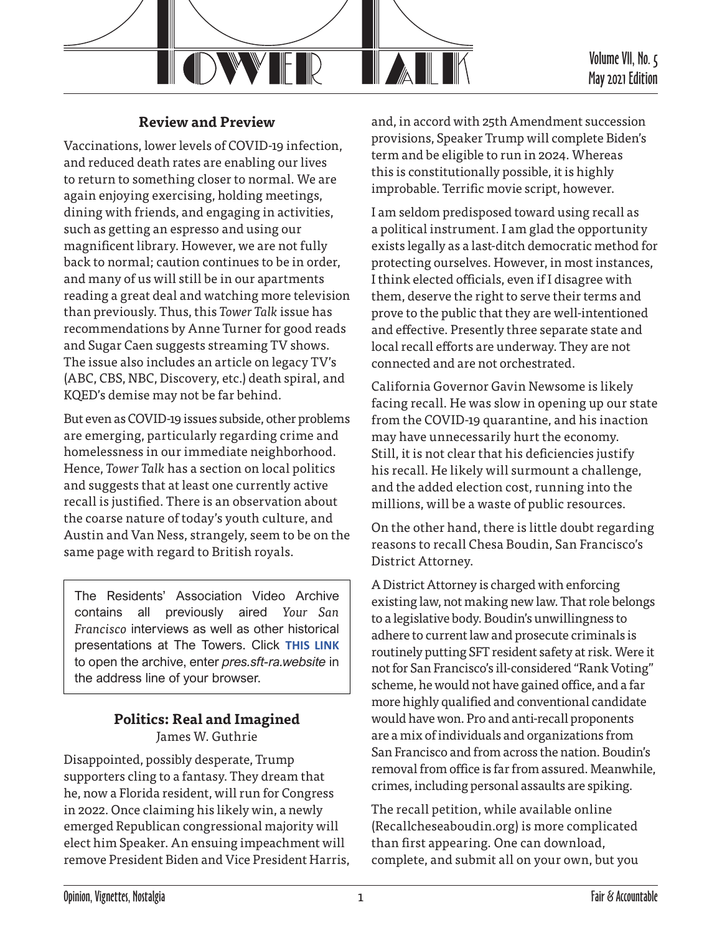

# **Review and Preview**

Vaccinations, lower levels of COVID-19 infection, and reduced death rates are enabling our lives to return to something closer to normal. We are again enjoying exercising, holding meetings, dining with friends, and engaging in activities, such as getting an espresso and using our magnificent library. However, we are not fully back to normal; caution continues to be in order, and many of us will still be in our apartments reading a great deal and watching more television than previously. Thus, this *Tower Talk* issue has recommendations by Anne Turner for good reads and Sugar Caen suggests streaming TV shows. The issue also includes an article on legacy TV's (ABC, CBS, NBC, Discovery, etc.) death spiral, and KQED's demise may not be far behind.

But even as COVID-19 issues subside, other problems are emerging, particularly regarding crime and homelessness in our immediate neighborhood. Hence, *Tower Talk* has a section on local politics and suggests that at least one currently active recall is justified. There is an observation about the coarse nature of today's youth culture, and Austin and Van Ness, strangely, seem to be on the same page with regard to British royals.

The Residents' Association Video Archive contains all previously aired *Your San Francisco* interviews as well as other historical presentations at The Towers. Click **[THIS LINK](http://pres.sft-ra.website)** to open the archive, enter *pres.sft-ra.website* in the address line of your browser.

#### **Politics: Real and Imagined** James W. Guthrie

Disappointed, possibly desperate, Trump supporters cling to a fantasy. They dream that he, now a Florida resident, will run for Congress in 2022. Once claiming his likely win, a newly emerged Republican congressional majority will elect him Speaker. An ensuing impeachment will remove President Biden and Vice President Harris, and, in accord with 25th Amendment succession provisions, Speaker Trump will complete Biden's term and be eligible to run in 2024. Whereas this is constitutionally possible, it is highly improbable. Terrific movie script, however.

I am seldom predisposed toward using recall as a political instrument. I am glad the opportunity exists legally as a last-ditch democratic method for protecting ourselves. However, in most instances, I think elected officials, even if I disagree with them, deserve the right to serve their terms and prove to the public that they are well-intentioned and effective. Presently three separate state and local recall efforts are underway. They are not connected and are not orchestrated.

California Governor Gavin Newsome is likely facing recall. He was slow in opening up our state from the COVID-19 quarantine, and his inaction may have unnecessarily hurt the economy. Still, it is not clear that his deficiencies justify his recall. He likely will surmount a challenge, and the added election cost, running into the millions, will be a waste of public resources.

On the other hand, there is little doubt regarding reasons to recall Chesa Boudin, San Francisco's District Attorney.

A District Attorney is charged with enforcing existing law, not making new law. That role belongs to a legislative body. Boudin's unwillingness to adhere to current law and prosecute criminals is routinely putting SFT resident safety at risk. Were it not for San Francisco's ill-considered "Rank Voting" scheme, he would not have gained office, and a far more highly qualified and conventional candidate would have won. Pro and anti-recall proponents are a mix of individuals and organizations from San Francisco and from across the nation. Boudin's removal from office is far from assured. Meanwhile, crimes, including personal assaults are spiking.

The recall petition, while available online (Recallcheseaboudin.org) is more complicated than first appearing. One can download, complete, and submit all on your own, but you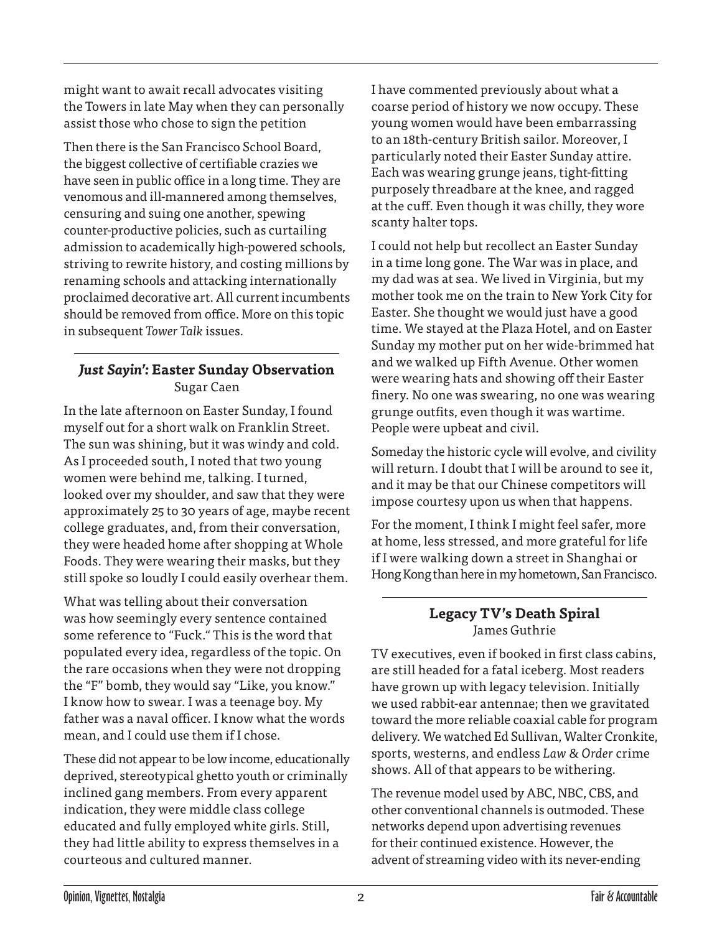might want to await recall advocates visiting the Towers in late May when they can personally assist those who chose to sign the petition

Then there is the San Francisco School Board, the biggest collective of certifiable crazies we have seen in public office in a long time. They are venomous and ill-mannered among themselves, censuring and suing one another, spewing counter-productive policies, such as curtailing admission to academically high-powered schools, striving to rewrite history, and costing millions by renaming schools and attacking internationally proclaimed decorative art. All current incumbents should be removed from office. More on this topic in subsequent *Tower Talk* issues.

# *Just Sayin':* **Easter Sunday Observation** Sugar Caen

In the late afternoon on Easter Sunday, I found myself out for a short walk on Franklin Street. The sun was shining, but it was windy and cold. As I proceeded south, I noted that two young women were behind me, talking. I turned, looked over my shoulder, and saw that they were approximately 25 to 30 years of age, maybe recent college graduates, and, from their conversation, they were headed home after shopping at Whole Foods. They were wearing their masks, but they still spoke so loudly I could easily overhear them.

What was telling about their conversation was how seemingly every sentence contained some reference to "Fuck." This is the word that populated every idea, regardless of the topic. On the rare occasions when they were not dropping the "F" bomb, they would say "Like, you know." I know how to swear. I was a teenage boy. My father was a naval officer. I know what the words mean, and I could use them if I chose.

These did not appear to be low income, educationally deprived, stereotypical ghetto youth or criminally inclined gang members. From every apparent indication, they were middle class college educated and fully employed white girls. Still, they had little ability to express themselves in a courteous and cultured manner.

I have commented previously about what a coarse period of history we now occupy. These young women would have been embarrassing to an 18th-century British sailor. Moreover, I particularly noted their Easter Sunday attire. Each was wearing grunge jeans, tight-fitting purposely threadbare at the knee, and ragged at the cuff. Even though it was chilly, they wore scanty halter tops.

I could not help but recollect an Easter Sunday in a time long gone. The War was in place, and my dad was at sea. We lived in Virginia, but my mother took me on the train to New York City for Easter. She thought we would just have a good time. We stayed at the Plaza Hotel, and on Easter Sunday my mother put on her wide-brimmed hat and we walked up Fifth Avenue. Other women were wearing hats and showing off their Easter finery. No one was swearing, no one was wearing grunge outfits, even though it was wartime. People were upbeat and civil.

Someday the historic cycle will evolve, and civility will return. I doubt that I will be around to see it, and it may be that our Chinese competitors will impose courtesy upon us when that happens.

For the moment, I think I might feel safer, more at home, less stressed, and more grateful for life if I were walking down a street in Shanghai or Hong Kong than here in my hometown, San Francisco.

# **Legacy TV's Death Spiral** James Guthrie

TV executives, even if booked in first class cabins, are still headed for a fatal iceberg. Most readers have grown up with legacy television. Initially we used rabbit-ear antennae; then we gravitated toward the more reliable coaxial cable for program delivery. We watched Ed Sullivan, Walter Cronkite, sports, westerns, and endless *Law & Order* crime shows. All of that appears to be withering.

The revenue model used by ABC, NBC, CBS, and other conventional channels is outmoded. These networks depend upon advertising revenues for their continued existence. However, the advent of streaming video with its never-ending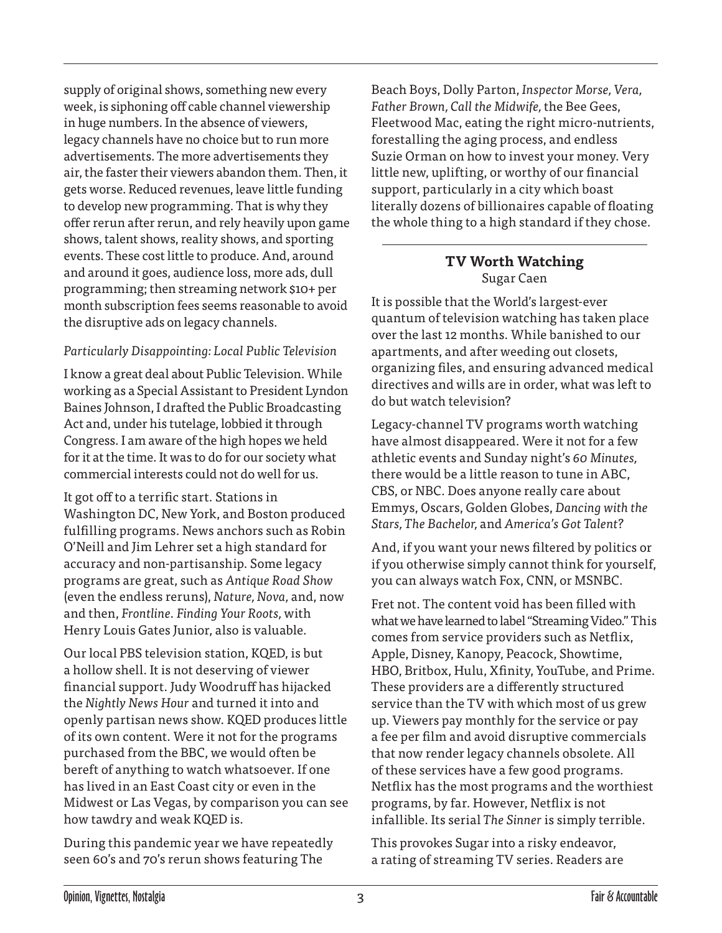supply of original shows, something new every week, is siphoning off cable channel viewership in huge numbers. In the absence of viewers, legacy channels have no choice but to run more advertisements. The more advertisements they air, the faster their viewers abandon them. Then, it gets worse. Reduced revenues, leave little funding to develop new programming. That is why they offer rerun after rerun, and rely heavily upon game shows, talent shows, reality shows, and sporting events. These cost little to produce. And, around and around it goes, audience loss, more ads, dull programming; then streaming network \$10+ per month subscription fees seems reasonable to avoid the disruptive ads on legacy channels.

#### *Particularly Disappointing: Local Public Television*

I know a great deal about Public Television. While working as a Special Assistant to President Lyndon Baines Johnson, I drafted the Public Broadcasting Act and, under his tutelage, lobbied it through Congress. I am aware of the high hopes we held for it at the time. It was to do for our society what commercial interests could not do well for us.

It got off to a terrific start. Stations in Washington DC, New York, and Boston produced fulfilling programs. News anchors such as Robin O'Neill and Jim Lehrer set a high standard for accuracy and non-partisanship. Some legacy programs are great, such as *Antique Road Show* (even the endless reruns), *Nature, Nova,* and, now and then, *Frontline*. *Finding Your Roots,* with Henry Louis Gates Junior, also is valuable.

Our local PBS television station, KQED, is but a hollow shell. It is not deserving of viewer financial support. Judy Woodruff has hijacked the *Nightly News Hour* and turned it into and openly partisan news show. KQED produces little of its own content. Were it not for the programs purchased from the BBC, we would often be bereft of anything to watch whatsoever. If one has lived in an East Coast city or even in the Midwest or Las Vegas, by comparison you can see how tawdry and weak KQED is.

During this pandemic year we have repeatedly seen 60's and 70's rerun shows featuring The

Beach Boys, Dolly Parton, *Inspector Morse, Vera, Father Brown, Call the Midwife,* the Bee Gees, Fleetwood Mac, eating the right micro-nutrients, forestalling the aging process, and endless Suzie Orman on how to invest your money. Very little new, uplifting, or worthy of our financial support, particularly in a city which boast literally dozens of billionaires capable of floating the whole thing to a high standard if they chose.

### **TV Worth Watching** Sugar Caen

It is possible that the World's largest-ever quantum of television watching has taken place over the last 12 months. While banished to our apartments, and after weeding out closets, organizing files, and ensuring advanced medical directives and wills are in order, what was left to do but watch television?

Legacy-channel TV programs worth watching have almost disappeared. Were it not for a few athletic events and Sunday night's *60 Minutes,* there would be a little reason to tune in ABC, CBS, or NBC. Does anyone really care about Emmys, Oscars, Golden Globes, *Dancing with the Stars, The Bachelor,* and *America's Got Talent?*

And, if you want your news filtered by politics or if you otherwise simply cannot think for yourself, you can always watch Fox, CNN, or MSNBC.

Fret not. The content void has been filled with what we have learned to label "Streaming Video." This comes from service providers such as Netflix, Apple, Disney, Kanopy, Peacock, Showtime, HBO, Britbox, Hulu, Xfinity, YouTube, and Prime. These providers are a differently structured service than the TV with which most of us grew up. Viewers pay monthly for the service or pay a fee per film and avoid disruptive commercials that now render legacy channels obsolete. All of these services have a few good programs. Netflix has the most programs and the worthiest programs, by far. However, Netflix is not infallible. Its serial *The Sinner* is simply terrible.

This provokes Sugar into a risky endeavor, a rating of streaming TV series. Readers are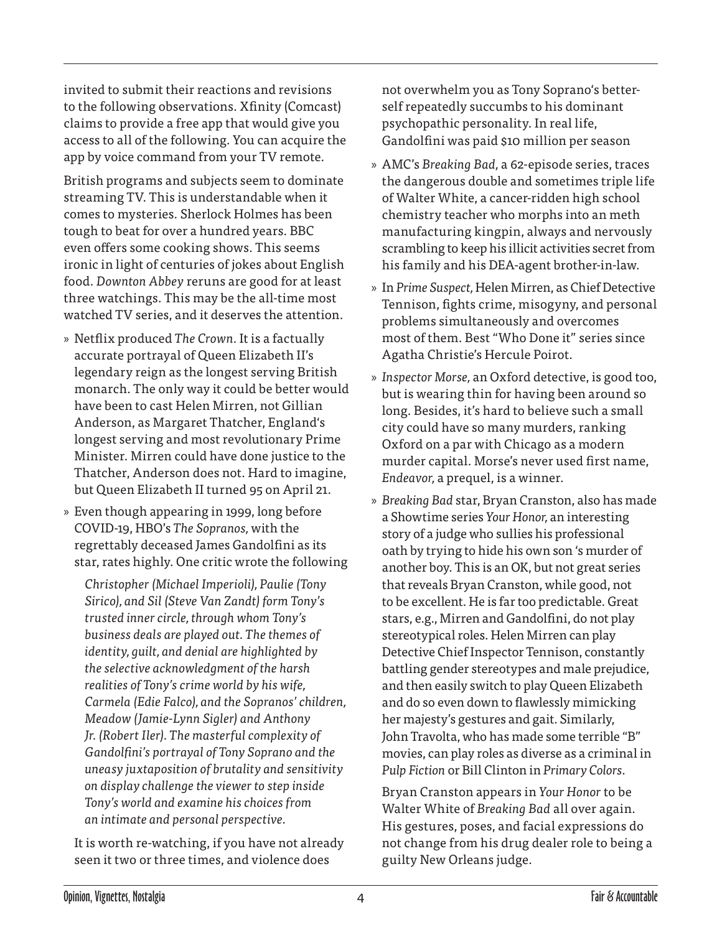invited to submit their reactions and revisions to the following observations. Xfinity (Comcast) claims to provide a free app that would give you access to all of the following. You can acquire the app by voice command from your TV remote.

British programs and subjects seem to dominate streaming TV. This is understandable when it comes to mysteries. Sherlock Holmes has been tough to beat for over a hundred years. BBC even offers some cooking shows. This seems ironic in light of centuries of jokes about English food. *Downton Abbey* reruns are good for at least three watchings. This may be the all-time most watched TV series, and it deserves the attention.

- » Netflix produced *The Crown.* It is a factually accurate portrayal of Queen Elizabeth II's legendary reign as the longest serving British monarch. The only way it could be better would have been to cast Helen Mirren, not Gillian Anderson, as Margaret Thatcher, England's longest serving and most revolutionary Prime Minister. Mirren could have done justice to the Thatcher, Anderson does not. Hard to imagine, but Queen Elizabeth II turned 95 on April 21.
- » Even though appearing in 1999, long before COVID-19, HBO's *The Sopranos,* with the regrettably deceased James Gandolfini as its star, rates highly. One critic wrote the following

*Christopher (Michael Imperioli), Paulie (Tony Sirico), and Sil (Steve Van Zandt) form Tony's trusted inner circle, through whom Tony's business deals are played out. The themes of identity, guilt, and denial are highlighted by the selective acknowledgment of the harsh realities of Tony's crime world by his wife, Carmela (Edie Falco), and the Sopranos' children, Meadow (Jamie-Lynn Sigler) and Anthony Jr. (Robert Iler). The masterful complexity of Gandolfini's portrayal of Tony Soprano and the uneasy juxtaposition of brutality and sensitivity on display challenge the viewer to step inside Tony's world and examine his choices from an intimate and personal perspective.*

It is worth re-watching, if you have not already seen it two or three times, and violence does

not overwhelm you as Tony Soprano's betterself repeatedly succumbs to his dominant psychopathic personality. In real life, Gandolfini was paid \$10 million per season

- » AMC's *Breaking Bad,* a 62-episode series, traces the dangerous double and sometimes triple life of Walter White, a cancer-ridden high school chemistry teacher who morphs into an meth manufacturing kingpin, always and nervously scrambling to keep his illicit activities secret from his family and his DEA-agent brother-in-law.
- » In *Prime Suspect,* Helen Mirren, as Chief Detective Tennison, fights crime, misogyny, and personal problems simultaneously and overcomes most of them. Best "Who Done it" series since Agatha Christie's Hercule Poirot.
- » *Inspector Morse,* an Oxford detective, is good too, but is wearing thin for having been around so long. Besides, it's hard to believe such a small city could have so many murders, ranking Oxford on a par with Chicago as a modern murder capital. Morse's never used first name, *Endeavor,* a prequel, is a winner.
- » *Breaking Bad* star, Bryan Cranston, also has made a Showtime series *Your Honor,* an interesting story of a judge who sullies his professional oath by trying to hide his own son 's murder of another boy. This is an OK, but not great series that reveals Bryan Cranston, while good, not to be excellent. He is far too predictable. Great stars, e.g., Mirren and Gandolfini, do not play stereotypical roles. Helen Mirren can play Detective Chief Inspector Tennison, constantly battling gender stereotypes and male prejudice, and then easily switch to play Queen Elizabeth and do so even down to flawlessly mimicking her majesty's gestures and gait. Similarly, John Travolta, who has made some terrible "B" movies, can play roles as diverse as a criminal in *Pulp Fiction* or Bill Clinton in *Primary Colors*.

Bryan Cranston appears in *Your Honor* to be Walter White of *Breaking Bad* all over again. His gestures, poses, and facial expressions do not change from his drug dealer role to being a guilty New Orleans judge.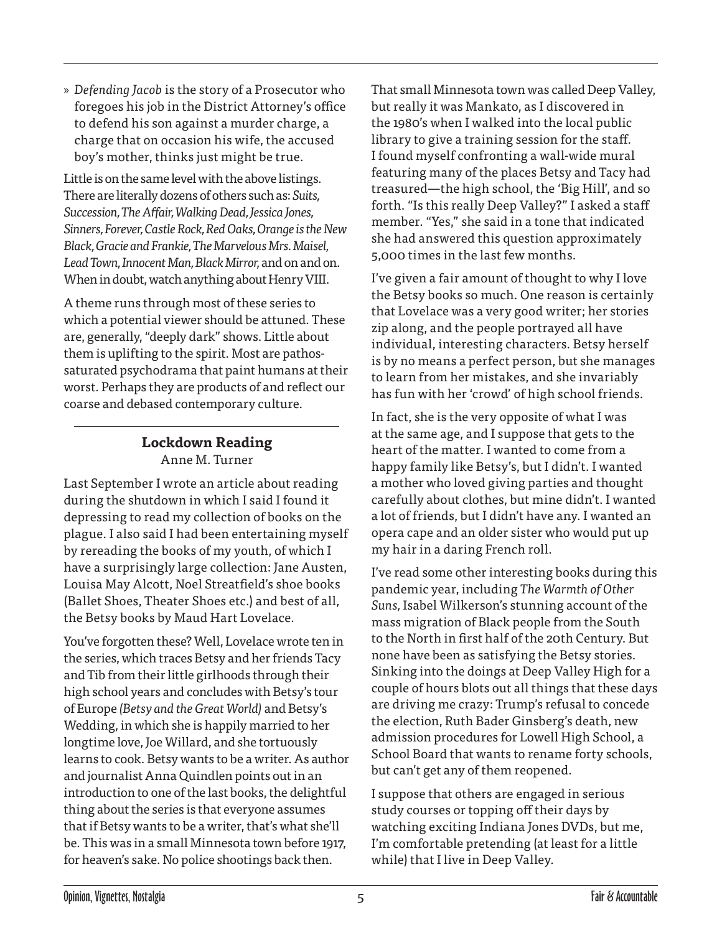» *Defending Jacob* is the story of a Prosecutor who foregoes his job in the District Attorney's office to defend his son against a murder charge, a charge that on occasion his wife, the accused boy's mother, thinks just might be true.

Little is on the same level with the above listings. There are literally dozens of others such as: *Suits, Succession, The Affair, Walking Dead, Jessica Jones, Sinners, Forever, Castle Rock, Red Oaks, Orange is the New Black, Gracie and Frankie, The Marvelous Mrs. Maisel, Lead Town, Innocent Man, Black Mirror,* and on and on. When in doubt, watch anything about Henry VIII.

A theme runs through most of these series to which a potential viewer should be attuned. These are, generally, "deeply dark" shows. Little about them is uplifting to the spirit. Most are pathossaturated psychodrama that paint humans at their worst. Perhaps they are products of and reflect our coarse and debased contemporary culture.

# **Lockdown Reading** Anne M. Turner

Last September I wrote an article about reading during the shutdown in which I said I found it depressing to read my collection of books on the plague. I also said I had been entertaining myself by rereading the books of my youth, of which I have a surprisingly large collection: Jane Austen, Louisa May Alcott, Noel Streatfield's shoe books (Ballet Shoes, Theater Shoes etc.) and best of all, the Betsy books by Maud Hart Lovelace.

You've forgotten these? Well, Lovelace wrote ten in the series, which traces Betsy and her friends Tacy and Tib from their little girlhoods through their high school years and concludes with Betsy's tour of Europe *(Betsy and the Great World)* and Betsy's Wedding, in which she is happily married to her longtime love, Joe Willard, and she tortuously learns to cook. Betsy wants to be a writer. As author and journalist Anna Quindlen points out in an introduction to one of the last books, the delightful thing about the series is that everyone assumes that if Betsy wants to be a writer, that's what she'll be. This was in a small Minnesota town before 1917, for heaven's sake. No police shootings back then.

That small Minnesota town was called Deep Valley, but really it was Mankato, as I discovered in the 1980's when I walked into the local public library to give a training session for the staff. I found myself confronting a wall-wide mural featuring many of the places Betsy and Tacy had treasured—the high school, the 'Big Hill', and so forth. "Is this really Deep Valley?" I asked a staff member. "Yes," she said in a tone that indicated she had answered this question approximately 5,000 times in the last few months.

I've given a fair amount of thought to why I love the Betsy books so much. One reason is certainly that Lovelace was a very good writer; her stories zip along, and the people portrayed all have individual, interesting characters. Betsy herself is by no means a perfect person, but she manages to learn from her mistakes, and she invariably has fun with her 'crowd' of high school friends.

In fact, she is the very opposite of what I was at the same age, and I suppose that gets to the heart of the matter. I wanted to come from a happy family like Betsy's, but I didn't. I wanted a mother who loved giving parties and thought carefully about clothes, but mine didn't. I wanted a lot of friends, but I didn't have any. I wanted an opera cape and an older sister who would put up my hair in a daring French roll.

I've read some other interesting books during this pandemic year, including *The Warmth of Other Suns,* Isabel Wilkerson's stunning account of the mass migration of Black people from the South to the North in first half of the 20th Century. But none have been as satisfying the Betsy stories. Sinking into the doings at Deep Valley High for a couple of hours blots out all things that these days are driving me crazy: Trump's refusal to concede the election, Ruth Bader Ginsberg's death, new admission procedures for Lowell High School, a School Board that wants to rename forty schools, but can't get any of them reopened.

I suppose that others are engaged in serious study courses or topping off their days by watching exciting Indiana Jones DVDs, but me, I'm comfortable pretending (at least for a little while) that I live in Deep Valley.